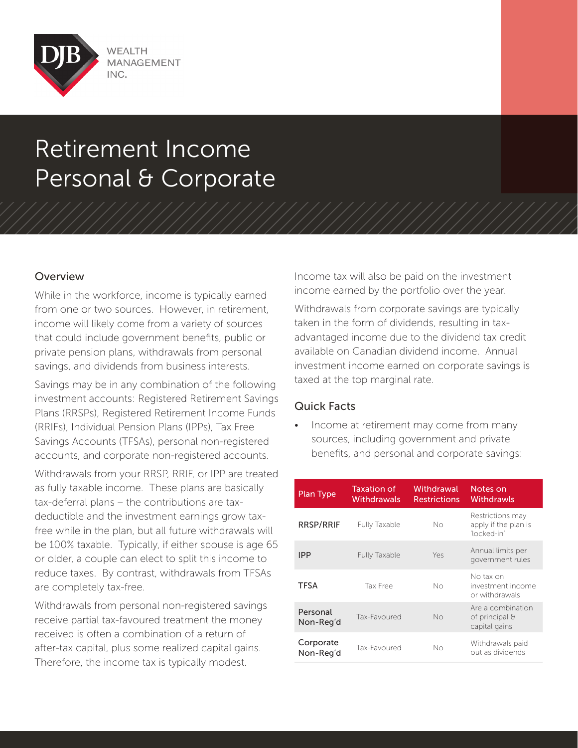

## Retirement Income Personal & Corporate

## Overview

While in the workforce, income is typically earned from one or two sources. However, in retirement, income will likely come from a variety of sources that could include government benefits, public or private pension plans, withdrawals from personal savings, and dividends from business interests.

Savings may be in any combination of the following investment accounts: Registered Retirement Savings Plans (RRSPs), Registered Retirement Income Funds (RRIFs), Individual Pension Plans (IPPs), Tax Free Savings Accounts (TFSAs), personal non-registered accounts, and corporate non-registered accounts.

Withdrawals from your RRSP, RRIF, or IPP are treated as fully taxable income. These plans are basically tax-deferral plans – the contributions are taxdeductible and the investment earnings grow taxfree while in the plan, but all future withdrawals will be 100% taxable. Typically, if either spouse is age 65 or older, a couple can elect to split this income to reduce taxes. By contrast, withdrawals from TFSAs are completely tax-free.

Withdrawals from personal non-registered savings receive partial tax-favoured treatment the money received is often a combination of a return of after-tax capital, plus some realized capital gains. Therefore, the income tax is typically modest.

Income tax will also be paid on the investment income earned by the portfolio over the year.

Withdrawals from corporate savings are typically taken in the form of dividends, resulting in taxadvantaged income due to the dividend tax credit available on Canadian dividend income. Annual investment income earned on corporate savings is taxed at the top marginal rate.

## Quick Facts

Income at retirement may come from many sources, including government and private benefits, and personal and corporate savings:

| Plan Type              | Taxation of<br>Withdrawals | Withdrawal<br><b>Restrictions</b> | Notes on<br>Withdrawls                                  |
|------------------------|----------------------------|-----------------------------------|---------------------------------------------------------|
| RRSP/RRIF              | <b>Fully Taxable</b>       | Nο                                | Restrictions may<br>apply if the plan is<br>'locked-in' |
| <b>IPP</b>             | <b>Fully Taxable</b>       | Yes                               | Annual limits per<br>government rules                   |
| <b>TFSA</b>            | Tax Free                   | Nο                                | No tax on<br>investment income<br>or withdrawals        |
| Personal<br>Non-Reg'd  | Tax-Favoured               | No                                | Are a combination<br>of principal &<br>capital gains    |
| Corporate<br>Non-Reg'd | Tax-Favoured               | Nο                                | Withdrawals paid<br>out as dividends                    |